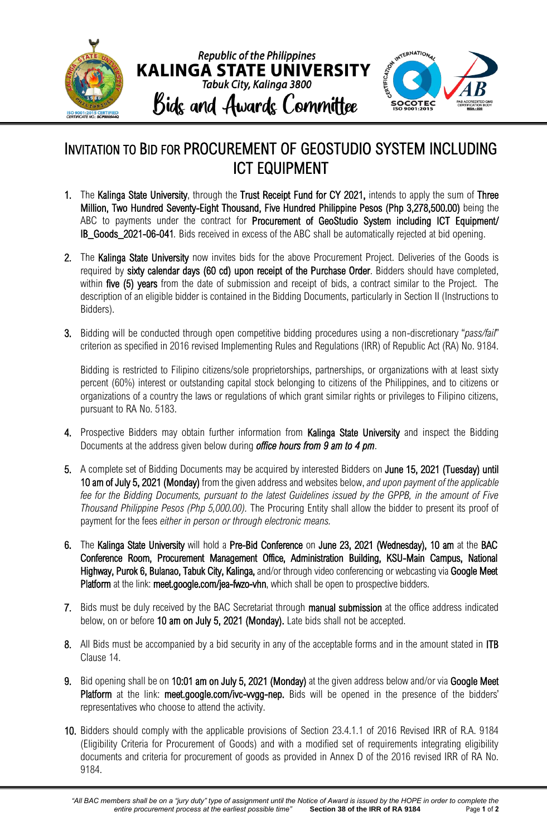

## INVITATION TO BID FOR PROCUREMENT OF GEOSTUDIO SYSTEM INCLUDING ICT EQUIPMENT

- 1. The Kalinga State University, through the Trust Receipt Fund for CY 2021, intends to apply the sum of Three Million, Two Hundred Seventy-Eight Thousand, Five Hundred Philippine Pesos (Php 3,278,500.00) being the ABC to payments under the contract for Procurement of GeoStudio System including ICT Equipment/ IB\_Goods\_2021-06-041*.* Bids received in excess of the ABC shall be automatically rejected at bid opening.
- 2. The Kalinga State University now invites bids for the above Procurement Project. Deliveries of the Goods is required by sixty calendar days (60 cd) upon receipt of the Purchase Order. Bidders should have completed, within five (5) years from the date of submission and receipt of bids, a contract similar to the Project. The description of an eligible bidder is contained in the Bidding Documents, particularly in Section II (Instructions to Bidders).
- 3. Bidding will be conducted through open competitive bidding procedures using a non-discretionary "*pass/fail*" criterion as specified in 2016 revised Implementing Rules and Regulations (IRR) of Republic Act (RA) No. 9184.

Bidding is restricted to Filipino citizens/sole proprietorships, partnerships, or organizations with at least sixty percent (60%) interest or outstanding capital stock belonging to citizens of the Philippines, and to citizens or organizations of a country the laws or regulations of which grant similar rights or privileges to Filipino citizens, pursuant to RA No. 5183.

- 4. Prospective Bidders may obtain further information from Kalinga State University and inspect the Bidding Documents at the address given below during *office hours from 9 am to 4 pm*.
- 5. A complete set of Bidding Documents may be acquired by interested Bidders on June 15, 2021 (Tuesday) until 10 am of July 5, 2021 (Monday) from the given address and websites below, *and upon payment of the applicable fee for the Bidding Documents, pursuant to the latest Guidelines issued by the GPPB, in the amount of Five Thousand Philippine Pesos (Php 5,000.00).* The Procuring Entity shall allow the bidder to present its proof of payment for the fees *either in person or through electronic means.*
- 6. The Kalinga State University will hold a Pre-Bid Conference on June 23, 2021 (Wednesday), 10 am at the BAC Conference Room, Procurement Management Office, Administration Building, KSU-Main Campus, National Highway, Purok 6, Bulanao, Tabuk City, Kalinga, and/or through video conferencing or webcasting via Google Meet Platform at the link: meet.google.com/jea-fwzo-vhn, which shall be open to prospective bidders.
- 7. Bids must be duly received by the BAC Secretariat through manual submission at the office address indicated below, on or before 10 am on July 5, 2021 (Monday). Late bids shall not be accepted.
- 8. All Bids must be accompanied by a bid security in any of the acceptable forms and in the amount stated in ITB Clause 14.
- 9. Bid opening shall be on 10:01 am on July 5, 2021 (Monday) at the given address below and/or via Google Meet Platform at the link: meet.google.com/ivc-wgg-nep. Bids will be opened in the presence of the bidders' representatives who choose to attend the activity.
- 10. Bidders should comply with the applicable provisions of Section 23.4.1.1 of 2016 Revised IRR of R.A. 9184 (Eligibility Criteria for Procurement of Goods) and with a modified set of requirements integrating eligibility documents and criteria for procurement of goods as provided in Annex D of the 2016 revised IRR of RA No. 9184.